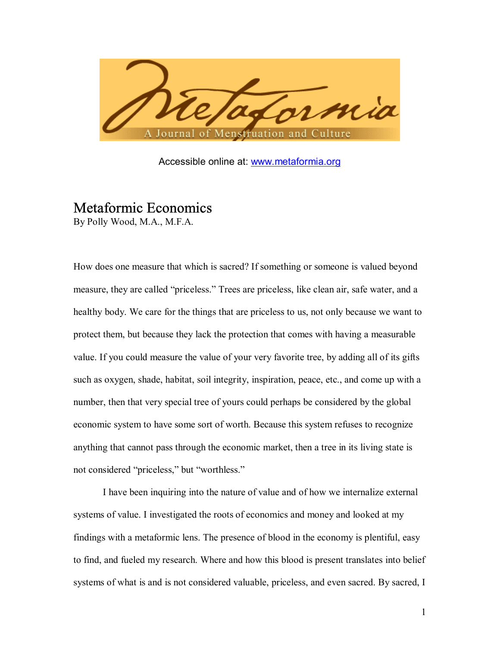

Accessible online at: www.metaformia.org

# Metaformic Economics

By Polly Wood, M.A., M.F.A.

How does one measure that which is sacred? If something or someone is valued beyond measure, they are called "priceless." Trees are priceless, like clean air, safe water, and a healthy body. We care for the things that are priceless to us, not only because we want to protect them, but because they lack the protection that comes with having a measurable value. If you could measure the value of your very favorite tree, by adding all of its gifts such as oxygen, shade, habitat, soil integrity, inspiration, peace, etc., and come up with a number, then that very special tree of yours could perhaps be considered by the global economic system to have some sort of worth. Because this system refuses to recognize anything that cannot pass through the economic market, then a tree in its living state is not considered "priceless," but "worthless."

 I have been inquiring into the nature of value and of how we internalize external systems of value. I investigated the roots of economics and money and looked at my findings with a metaformic lens. The presence of blood in the economy is plentiful, easy to find, and fueled my research. Where and how this blood is present translates into belief systems of what is and is not considered valuable, priceless, and even sacred. By sacred, I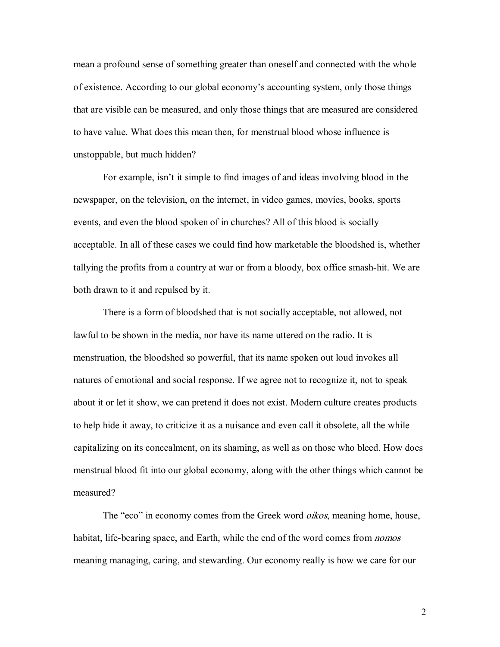mean a profound sense of something greater than oneself and connected with the whole of existence. According to our global economy's accounting system, only those things that are visible can be measured, and only those things that are measured are considered to have value. What does this mean then, for menstrual blood whose influence is unstoppable, but much hidden?

For example, isn't it simple to find images of and ideas involving blood in the newspaper, on the television, on the internet, in video games, movies, books, sports events, and even the blood spoken of in churches? All of this blood is socially acceptable. In all of these cases we could find how marketable the bloodshed is, whether tallying the profits from a country at war or from a bloody, box office smash-hit. We are both drawn to it and repulsed by it.

 There is a form of bloodshed that is not socially acceptable, not allowed, not lawful to be shown in the media, nor have its name uttered on the radio. It is menstruation, the bloodshed so powerful, that its name spoken out loud invokes all natures of emotional and social response. If we agree not to recognize it, not to speak about it or let it show, we can pretend it does not exist. Modern culture creates products to help hide it away, to criticize it as a nuisance and even call it obsolete, all the while capitalizing on its concealment, on its shaming, as well as on those who bleed. How does menstrual blood fit into our global economy, along with the other things which cannot be measured?

The "eco" in economy comes from the Greek word *oikos*, meaning home, house, habitat, life-bearing space, and Earth, while the end of the word comes from *nomos* meaning managing, caring, and stewarding. Our economy really is how we care for our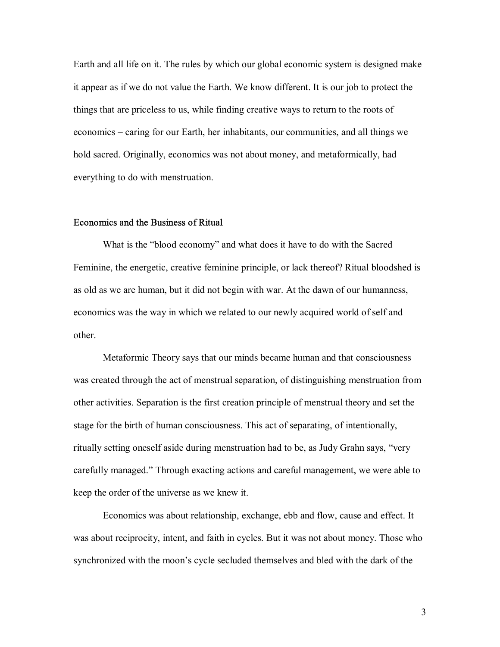Earth and all life on it. The rules by which our global economic system is designed make it appear as if we do not value the Earth. We know different. It is our job to protect the things that are priceless to us, while finding creative ways to return to the roots of economics – caring for our Earth, her inhabitants, our communities, and all things we hold sacred. Originally, economics was not about money, and metaformically, had everything to do with menstruation.

#### Economics and the Business of Ritual

What is the "blood economy" and what does it have to do with the Sacred Feminine, the energetic, creative feminine principle, or lack thereof? Ritual bloodshed is as old as we are human, but it did not begin with war. At the dawn of our humanness, economics was the way in which we related to our newly acquired world of self and other.

 Metaformic Theory says that our minds became human and that consciousness was created through the act of menstrual separation, of distinguishing menstruation from other activities. Separation is the first creation principle of menstrual theory and set the stage for the birth of human consciousness. This act of separating, of intentionally, ritually setting oneself aside during menstruation had to be, as Judy Grahn says, "very carefully managed." Through exacting actions and careful management, we were able to keep the order of the universe as we knew it.

 Economics was about relationship, exchange, ebb and flow, cause and effect. It was about reciprocity, intent, and faith in cycles. But it was not about money. Those who synchronized with the moon's cycle secluded themselves and bled with the dark of the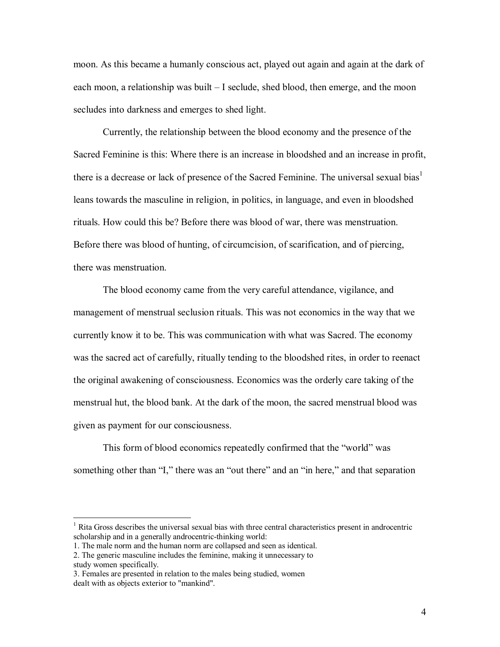moon. As this became a humanly conscious act, played out again and again at the dark of each moon, a relationship was built  $-I$  seclude, shed blood, then emerge, and the moon secludes into darkness and emerges to shed light.

 Currently, the relationship between the blood economy and the presence of the Sacred Feminine is this: Where there is an increase in bloodshed and an increase in profit, there is a decrease or lack of presence of the Sacred Feminine. The universal sexual bias<sup>1</sup> leans towards the masculine in religion, in politics, in language, and even in bloodshed rituals. How could this be? Before there was blood of war, there was menstruation. Before there was blood of hunting, of circumcision, of scarification, and of piercing, there was menstruation.

 The blood economy came from the very careful attendance, vigilance, and management of menstrual seclusion rituals. This was not economics in the way that we currently know it to be. This was communication with what was Sacred. The economy was the sacred act of carefully, ritually tending to the bloodshed rites, in order to reenact the original awakening of consciousness. Economics was the orderly care taking of the menstrual hut, the blood bank. At the dark of the moon, the sacred menstrual blood was given as payment for our consciousness.

This form of blood economics repeatedly confirmed that the "world" was something other than "I," there was an "out there" and an "in here," and that separation

<sup>&</sup>lt;sup>1</sup> Rita Gross describes the universal sexual bias with three central characteristics present in androcentric scholarship and in a generally androcentric-thinking world:

<sup>1.</sup> The male norm and the human norm are collapsed and seen as identical.

<sup>2.</sup> The generic masculine includes the feminine, making it unnecessary to

study women specifically.

<sup>3.</sup> Females are presented in relation to the males being studied, women dealt with as objects exterior to "mankind".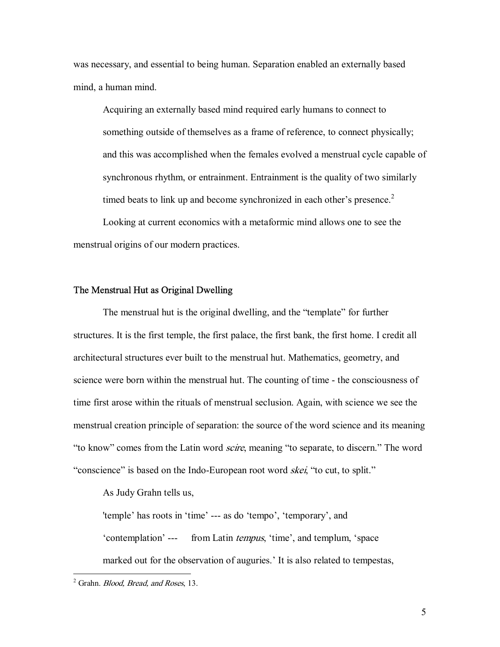was necessary, and essential to being human. Separation enabled an externally based mind, a human mind.

 Acquiring an externally based mind required early humans to connect to something outside of themselves as a frame of reference, to connect physically; and this was accomplished when the females evolved a menstrual cycle capable of synchronous rhythm, or entrainment. Entrainment is the quality of two similarly timed beats to link up and become synchronized in each other's presence. $2$ 

 Looking at current economics with a metaformic mind allows one to see the menstrual origins of our modern practices.

#### The Menstrual Hut as Original Dwelling

The menstrual hut is the original dwelling, and the "template" for further structures. It is the first temple, the first palace, the first bank, the first home. I credit all architectural structures ever built to the menstrual hut. Mathematics, geometry, and science were born within the menstrual hut. The counting of time - the consciousness of time first arose within the rituals of menstrual seclusion. Again, with science we see the menstrual creation principle of separation: the source of the word science and its meaning "to know" comes from the Latin word *scire*, meaning "to separate, to discern." The word "conscience" is based on the Indo-European root word *skei*, "to cut, to split."

As Judy Grahn tells us,

'temple' has roots in 'time' --- as do 'tempo', 'temporary', and 'contemplation' --- from Latin *tempus*, 'time', and templum, 'space marked out for the observation of auguries.' It is also related to tempestas,

<sup>&</sup>lt;sup>2</sup> Grahn. *Blood, Bread, and Roses*, 13.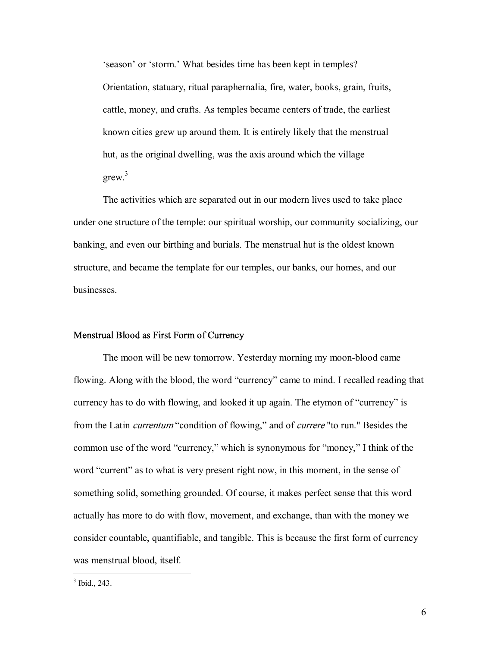'season' or 'storm.' What besides time has been kept in temples? Orientation, statuary, ritual paraphernalia, fire, water, books, grain, fruits, cattle, money, and crafts. As temples became centers of trade, the earliest known cities grew up around them. It is entirely likely that the menstrual hut, as the original dwelling, was the axis around which the village  $g$ rew.<sup>3</sup>

 The activities which are separated out in our modern lives used to take place under one structure of the temple: our spiritual worship, our community socializing, our banking, and even our birthing and burials. The menstrual hut is the oldest known structure, and became the template for our temples, our banks, our homes, and our businesses.

#### Menstrual Blood as First Form of Currency

 The moon will be new tomorrow. Yesterday morning my moon-blood came flowing. Along with the blood, the word "currency" came to mind. I recalled reading that currency has to do with flowing, and looked it up again. The etymon of "currency" is from the Latin *currentum* "condition of flowing," and of *currere* "to run." Besides the common use of the word "currency," which is synonymous for "money," I think of the word "current" as to what is very present right now, in this moment, in the sense of something solid, something grounded. Of course, it makes perfect sense that this word actually has more to do with flow, movement, and exchange, than with the money we consider countable, quantifiable, and tangible. This is because the first form of currency was menstrual blood, itself.

<sup>&</sup>lt;sup>3</sup> Ibid., 243.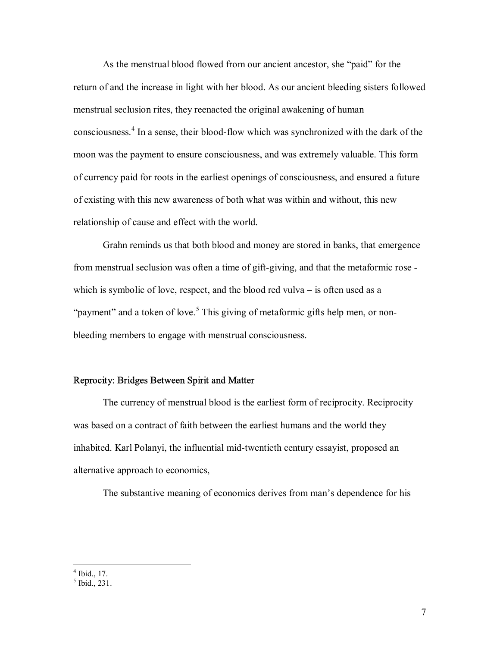As the menstrual blood flowed from our ancient ancestor, she "paid" for the return of and the increase in light with her blood. As our ancient bleeding sisters followed menstrual seclusion rites, they reenacted the original awakening of human consciousness.<sup>4</sup> In a sense, their blood-flow which was synchronized with the dark of the moon was the payment to ensure consciousness, and was extremely valuable. This form of currency paid for roots in the earliest openings of consciousness, and ensured a future of existing with this new awareness of both what was within and without, this new relationship of cause and effect with the world.

 Grahn reminds us that both blood and money are stored in banks, that emergence from menstrual seclusion was often a time of gift-giving, and that the metaformic rose which is symbolic of love, respect, and the blood red vulva  $-$  is often used as a "payment" and a token of love.<sup>5</sup> This giving of metaformic gifts help men, or nonbleeding members to engage with menstrual consciousness.

#### Reprocity: Bridges Between Spirit and Matter

 The currency of menstrual blood is the earliest form of reciprocity. Reciprocity was based on a contract of faith between the earliest humans and the world they inhabited. Karl Polanyi, the influential mid-twentieth century essayist, proposed an alternative approach to economics,

The substantive meaning of economics derives from man's dependence for his

 $\frac{4}{5}$  Ibid., 17.<br>  $\frac{5}{1}$  Ibid., 231.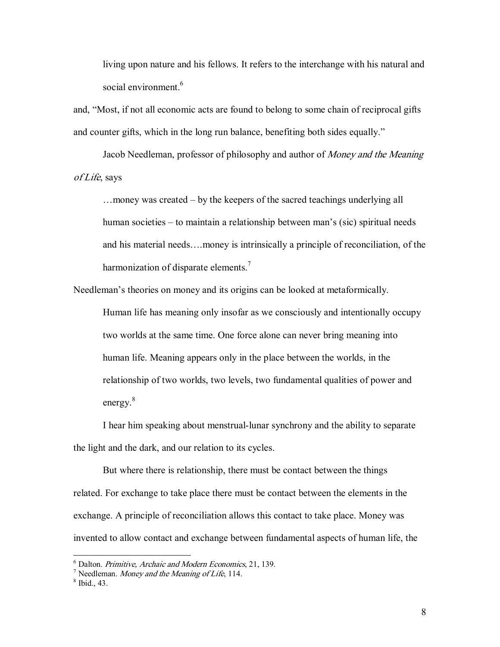living upon nature and his fellows. It refers to the interchange with his natural and social environment.<sup>6</sup>

and, "Most, if not all economic acts are found to belong to some chain of reciprocal gifts and counter gifts, which in the long run balance, benefiting both sides equally.<sup>"</sup>

 Jacob Needleman, professor of philosophy and author of Money and the Meaning of Life, says

 $\dots$  money was created – by the keepers of the sacred teachings underlying all human societies – to maintain a relationship between man's (sic) spiritual needs and his material needs....money is intrinsically a principle of reconciliation, of the harmonization of disparate elements.<sup>7</sup>

Needleman's theories on money and its origins can be looked at metaformically.

 Human life has meaning only insofar as we consciously and intentionally occupy two worlds at the same time. One force alone can never bring meaning into human life. Meaning appears only in the place between the worlds, in the relationship of two worlds, two levels, two fundamental qualities of power and energy.<sup>8</sup>

 I hear him speaking about menstrual-lunar synchrony and the ability to separate the light and the dark, and our relation to its cycles.

 But where there is relationship, there must be contact between the things related. For exchange to take place there must be contact between the elements in the exchange. A principle of reconciliation allows this contact to take place. Money was invented to allow contact and exchange between fundamental aspects of human life, the

<u>.</u>

 $^6$  Dalton. *Primitive, Archaic and Modern Economics*, 21, 139.

 $\frac{1}{\pi}$  Needleman. *Money and the Meaning of Life*, 114.

 $8$  Ibid., 43.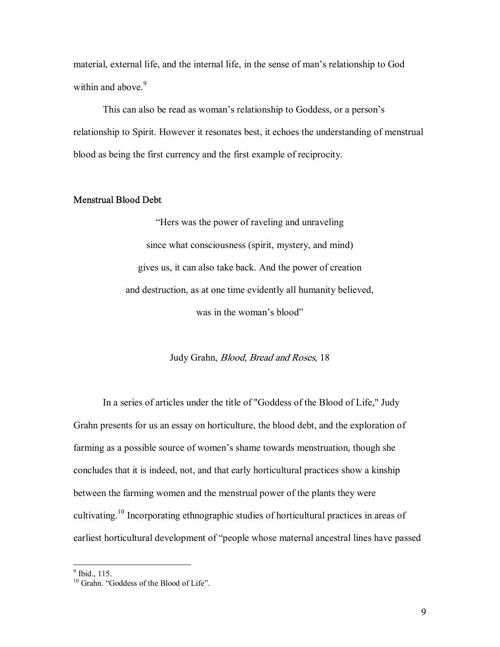material, external life, and the internal life, in the sense of man's relationship to God within and above  $9<sup>9</sup>$ 

This can also be read as woman's relationship to Goddess, or a person's relationship to Spirit. However it resonates best, it echoes the understanding of menstrual blood as being the first currency and the first example of reciprocity.

#### Menstrual Blood Debt

ìHers was the power of raveling and unraveling since what consciousness (spirit, mystery, and mind) gives us, it can also take back. And the power of creation and destruction, as at one time evidently all humanity believed, was in the woman's blood"

#### Judy Grahn, Blood, Bread and Roses, 18

 In a series of articles under the title of "Goddess of the Blood of Life," Judy Grahn presents for us an essay on horticulture, the blood debt, and the exploration of farming as a possible source of women's shame towards menstruation, though she concludes that it is indeed, not, and that early horticultural practices show a kinship between the farming women and the menstrual power of the plants they were cultivating.<sup>10</sup> Incorporating ethnographic studies of horticultural practices in areas of earliest horticultural development of "people whose maternal ancestral lines have passed

<sup>&</sup>lt;sup>9</sup> Ibid., 115.

 $10^{10}$  Grahn. "Goddess of the Blood of Life".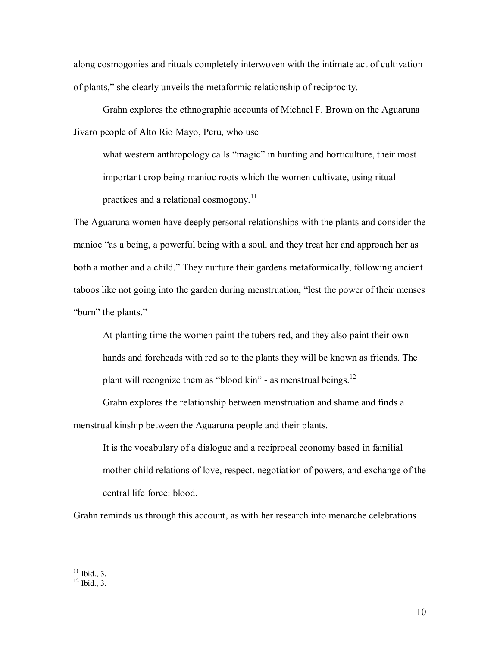along cosmogonies and rituals completely interwoven with the intimate act of cultivation of plants,î she clearly unveils the metaformic relationship of reciprocity.

 Grahn explores the ethnographic accounts of Michael F. Brown on the Aguaruna Jivaro people of Alto Rio Mayo, Peru, who use

what western anthropology calls "magic" in hunting and horticulture, their most important crop being manioc roots which the women cultivate, using ritual practices and a relational cosmogony.<sup>11</sup>

The Aguaruna women have deeply personal relationships with the plants and consider the manioc "as a being, a powerful being with a soul, and they treat her and approach her as both a mother and a child." They nurture their gardens metaformically, following ancient taboos like not going into the garden during menstruation, "lest the power of their menses "burn" the plants."

 At planting time the women paint the tubers red, and they also paint their own hands and foreheads with red so to the plants they will be known as friends. The plant will recognize them as "blood kin" - as menstrual beings. $12$ 

 Grahn explores the relationship between menstruation and shame and finds a menstrual kinship between the Aguaruna people and their plants.

 It is the vocabulary of a dialogue and a reciprocal economy based in familial mother-child relations of love, respect, negotiation of powers, and exchange of the central life force: blood.

Grahn reminds us through this account, as with her research into menarche celebrations

 $\overline{a}$ 

 $11$  Ibid., 3.

 $12$  Ibid., 3.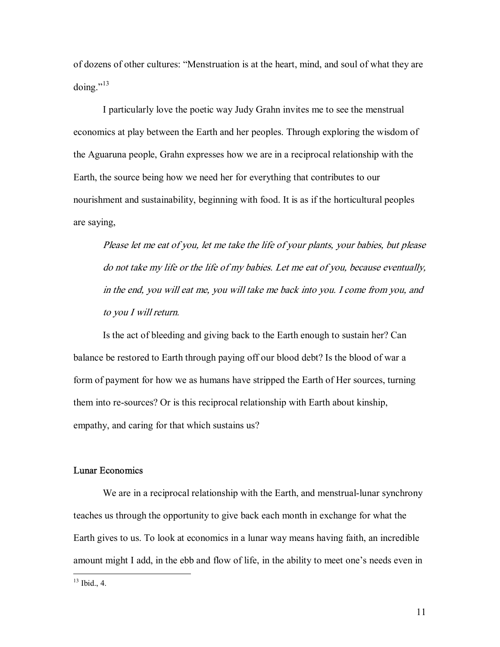of dozens of other cultures: "Menstruation is at the heart, mind, and soul of what they are doing." $^{13}$ 

 I particularly love the poetic way Judy Grahn invites me to see the menstrual economics at play between the Earth and her peoples. Through exploring the wisdom of the Aguaruna people, Grahn expresses how we are in a reciprocal relationship with the Earth, the source being how we need her for everything that contributes to our nourishment and sustainability, beginning with food. It is as if the horticultural peoples are saying,

Please let me eat of you, let me take the life of your plants, your babies, but please do not take my life or the life of my babies. Let me eat of you, because eventually, in the end, you will eat me, you will take me back into you. I come from you, and to you I will return.

 Is the act of bleeding and giving back to the Earth enough to sustain her? Can balance be restored to Earth through paying off our blood debt? Is the blood of war a form of payment for how we as humans have stripped the Earth of Her sources, turning them into re-sources? Or is this reciprocal relationship with Earth about kinship, empathy, and caring for that which sustains us?

## Lunar Economics

 We are in a reciprocal relationship with the Earth, and menstrual-lunar synchrony teaches us through the opportunity to give back each month in exchange for what the Earth gives to us. To look at economics in a lunar way means having faith, an incredible amount might I add, in the ebb and flow of life, in the ability to meet one's needs even in

 $\overline{a}$ 

 $13$  Ibid., 4.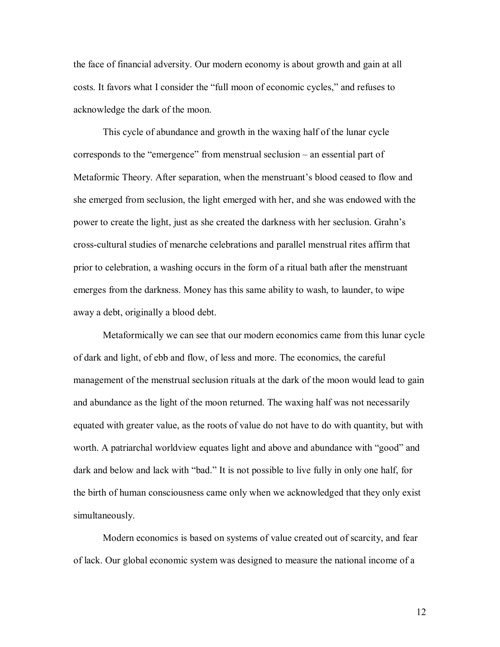the face of financial adversity. Our modern economy is about growth and gain at all costs. It favors what I consider the "full moon of economic cycles," and refuses to acknowledge the dark of the moon.

 This cycle of abundance and growth in the waxing half of the lunar cycle corresponds to the "emergence" from menstrual seclusion  $-$  an essential part of Metaformic Theory. After separation, when the menstruant's blood ceased to flow and she emerged from seclusion, the light emerged with her, and she was endowed with the power to create the light, just as she created the darkness with her seclusion. Grahn's cross-cultural studies of menarche celebrations and parallel menstrual rites affirm that prior to celebration, a washing occurs in the form of a ritual bath after the menstruant emerges from the darkness. Money has this same ability to wash, to launder, to wipe away a debt, originally a blood debt.

 Metaformically we can see that our modern economics came from this lunar cycle of dark and light, of ebb and flow, of less and more. The economics, the careful management of the menstrual seclusion rituals at the dark of the moon would lead to gain and abundance as the light of the moon returned. The waxing half was not necessarily equated with greater value, as the roots of value do not have to do with quantity, but with worth. A patriarchal worldview equates light and above and abundance with "good" and dark and below and lack with "bad." It is not possible to live fully in only one half, for the birth of human consciousness came only when we acknowledged that they only exist simultaneously.

 Modern economics is based on systems of value created out of scarcity, and fear of lack. Our global economic system was designed to measure the national income of a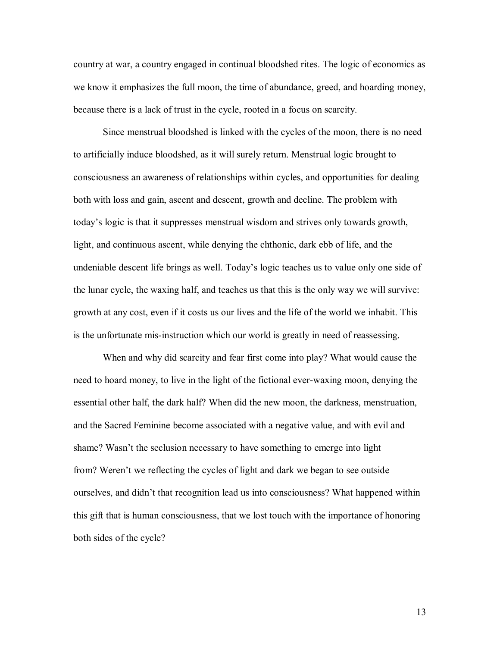country at war, a country engaged in continual bloodshed rites. The logic of economics as we know it emphasizes the full moon, the time of abundance, greed, and hoarding money, because there is a lack of trust in the cycle, rooted in a focus on scarcity.

 Since menstrual bloodshed is linked with the cycles of the moon, there is no need to artificially induce bloodshed, as it will surely return. Menstrual logic brought to consciousness an awareness of relationships within cycles, and opportunities for dealing both with loss and gain, ascent and descent, growth and decline. The problem with todayís logic is that it suppresses menstrual wisdom and strives only towards growth, light, and continuous ascent, while denying the chthonic, dark ebb of life, and the undeniable descent life brings as well. Today's logic teaches us to value only one side of the lunar cycle, the waxing half, and teaches us that this is the only way we will survive: growth at any cost, even if it costs us our lives and the life of the world we inhabit. This is the unfortunate mis-instruction which our world is greatly in need of reassessing.

 When and why did scarcity and fear first come into play? What would cause the need to hoard money, to live in the light of the fictional ever-waxing moon, denying the essential other half, the dark half? When did the new moon, the darkness, menstruation, and the Sacred Feminine become associated with a negative value, and with evil and shame? Wasn't the seclusion necessary to have something to emerge into light from? Weren't we reflecting the cycles of light and dark we began to see outside ourselves, and didnít that recognition lead us into consciousness? What happened within this gift that is human consciousness, that we lost touch with the importance of honoring both sides of the cycle?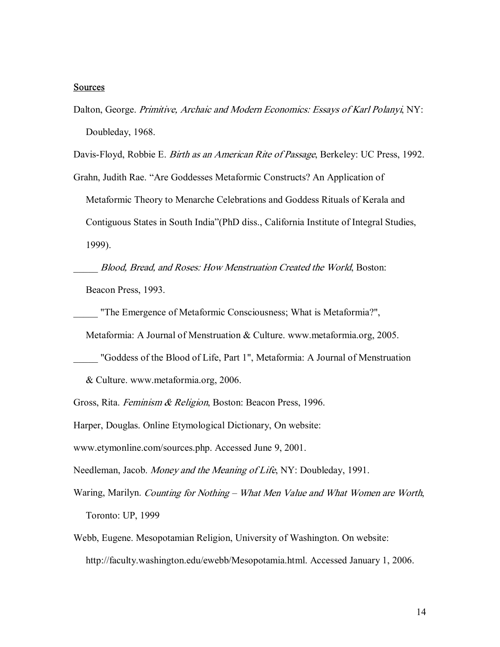### **Sources**

Dalton, George. Primitive, Archaic and Modern Economics: Essays of Karl Polanyi, NY: Doubleday, 1968.

Davis-Floyd, Robbie E. Birth as an American Rite of Passage, Berkeley: UC Press, 1992.

Grahn, Judith Rae. "Are Goddesses Metaformic Constructs? An Application of Metaformic Theory to Menarche Celebrations and Goddess Rituals of Kerala and Contiguous States in South Indiaî(PhD diss., California Institute of Integral Studies, 1999).

Blood, Bread, and Roses: How Menstruation Created the World, Boston: Beacon Press, 1993.

\_\_\_\_\_ "The Emergence of Metaformic Consciousness; What is Metaformia?",

Metaformia: A Journal of Menstruation & Culture. www.metaformia.org, 2005.

\_\_\_\_\_ "Goddess of the Blood of Life, Part 1", Metaformia: A Journal of Menstruation

& Culture. www.metaformia.org, 2006.

Gross, Rita. Feminism & Religion, Boston: Beacon Press, 1996.

Harper, Douglas. Online Etymological Dictionary, On website:

www.etymonline.com/sources.php. Accessed June 9, 2001.

Needleman, Jacob. Money and the Meaning of Life, NY: Doubleday, 1991.

- Waring, Marilyn. Counting for Nothing What Men Value and What Women are Worth, Toronto: UP, 1999
- Webb, Eugene. Mesopotamian Religion, University of Washington. On website: http://faculty.washington.edu/ewebb/Mesopotamia.html. Accessed January 1, 2006.